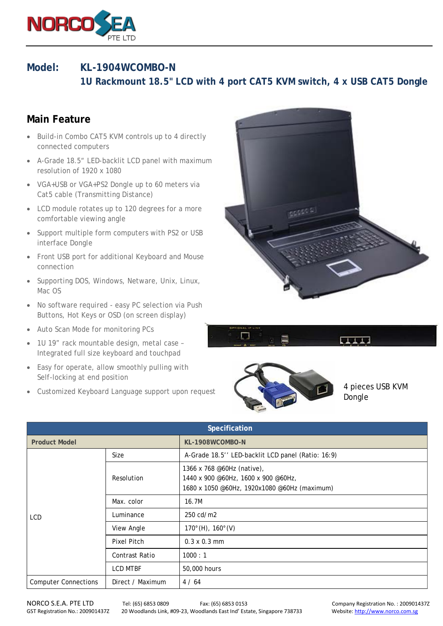

## **Model: KL-1904WCOMBO-N**

 **1U Rackmount 18.5" LCD with 4 port CAT5 KVM switch, 4 x USB CAT5 Dongle**

## **Main Feature**

- Build-in Combo CAT5 KVM controls up to 4 directly connected computers
- A-Grade 18.5" LED-backlit LCD panel with maximum resolution of 1920 x 1080
- VGA+USB or VGA+PS2 Dongle up to 60 meters via Cat5 cable (Transmitting Distance)
- LCD module rotates up to 120 degrees for a more comfortable viewing angle
- Support multiple form computers with PS2 or USB interface Dongle
- Front USB port for additional Keyboard and Mouse connection
- Supporting DOS, Windows, Netware, Unix, Linux, Mac OS
- No software required easy PC selection via Push Buttons, Hot Keys or OSD (on screen display)
- Auto Scan Mode for monitoring PCs
- 1U 19" rack mountable design, metal case Integrated full size keyboard and touchpad
- Easy for operate, allow smoothly pulling with Self-locking at end position
- Customized Keyboard Language support upon request







4 pieces USB KVM Dongle

| Specification                                   |                 |                                                                                                                   |  |  |  |
|-------------------------------------------------|-----------------|-------------------------------------------------------------------------------------------------------------------|--|--|--|
| <b>Product Model</b>                            |                 | KL-1908WCOMBO-N                                                                                                   |  |  |  |
| <b>LCD</b>                                      | <b>Size</b>     | A-Grade 18.5" LED-backlit LCD panel (Ratio: 16:9)                                                                 |  |  |  |
|                                                 | Resolution      | 1366 x 768 @60Hz (native),<br>1440 x 900 @60Hz, 1600 x 900 @60Hz,<br>1680 x 1050 @60Hz, 1920x1080 @60Hz (maximum) |  |  |  |
|                                                 | Max. color      | 16.7M                                                                                                             |  |  |  |
|                                                 | Luminance       | 250 cd/m2                                                                                                         |  |  |  |
|                                                 | View Angle      | $170^{\circ}$ (H), $160^{\circ}$ (V)                                                                              |  |  |  |
|                                                 | Pixel Pitch     | $0.3 \times 0.3 \text{ mm}$                                                                                       |  |  |  |
|                                                 | Contrast Ratio  | 1000:1                                                                                                            |  |  |  |
|                                                 | <b>LCD MTBF</b> | 50,000 hours                                                                                                      |  |  |  |
| Direct / Maximum<br><b>Computer Connections</b> |                 | 4/64                                                                                                              |  |  |  |